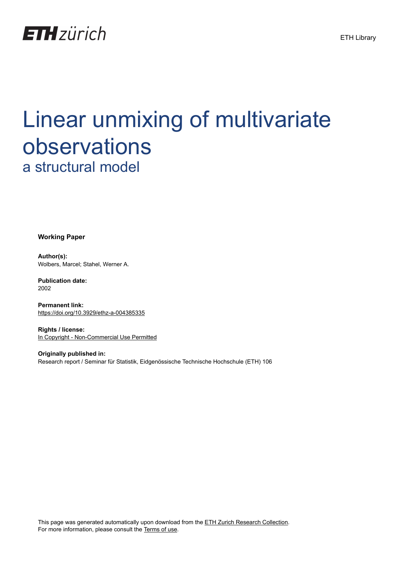

# Linear unmixing of multivariate observations a structural model

**Working Paper**

**Author(s):** Wolbers, Marcel; Stahel, Werner A.

**Publication date:** 2002

**Permanent link:** <https://doi.org/10.3929/ethz-a-004385335>

**Rights / license:** [In Copyright - Non-Commercial Use Permitted](http://rightsstatements.org/page/InC-NC/1.0/)

**Originally published in:** Research report / Seminar für Statistik, Eidgenössische Technische Hochschule (ETH) 106

This page was generated automatically upon download from the [ETH Zurich Research Collection.](https://www.research-collection.ethz.ch) For more information, please consult the [Terms of use](https://www.research-collection.ethz.ch/terms-of-use).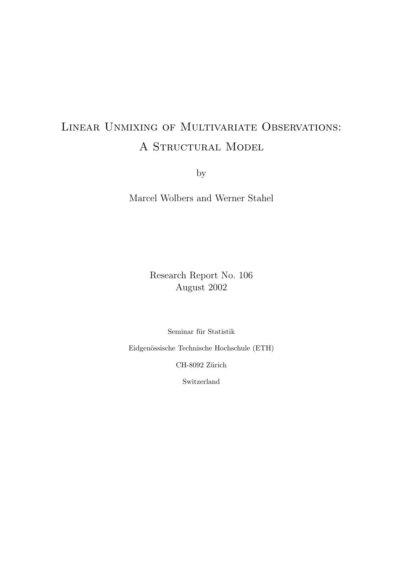## Linear Unmixing of Multivariate Observations: A STRUCTURAL MODEL

by

Marcel Wolbers and Werner Stahel

Research Report No. 106 August 2002

Seminar für Statistik

Eidgenössische Technische Hochschule (ETH)

CH-8092 Zürich

Switzerland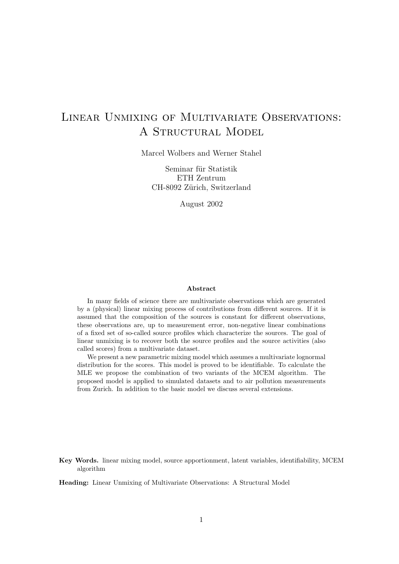## Linear Unmixing of Multivariate Observations: A Structural Model

Marcel Wolbers and Werner Stahel

Seminar für Statistik ETH Zentrum CH-8092 Zürich, Switzerland

August 2002

#### Abstract

In many fields of science there are multivariate observations which are generated by a (physical) linear mixing process of contributions from different sources. If it is assumed that the composition of the sources is constant for different observations, these observations are, up to measurement error, non-negative linear combinations of a fixed set of so-called source profiles which characterize the sources. The goal of linear unmixing is to recover both the source profiles and the source activities (also called scores) from a multivariate dataset.

We present a new parametric mixing model which assumes a multivariate lognormal distribution for the scores. This model is proved to be identifiable. To calculate the MLE we propose the combination of two variants of the MCEM algorithm. The proposed model is applied to simulated datasets and to air pollution measurements from Zurich. In addition to the basic model we discuss several extensions.

Key Words. linear mixing model, source apportionment, latent variables, identifiability, MCEM algorithm

Heading: Linear Unmixing of Multivariate Observations: A Structural Model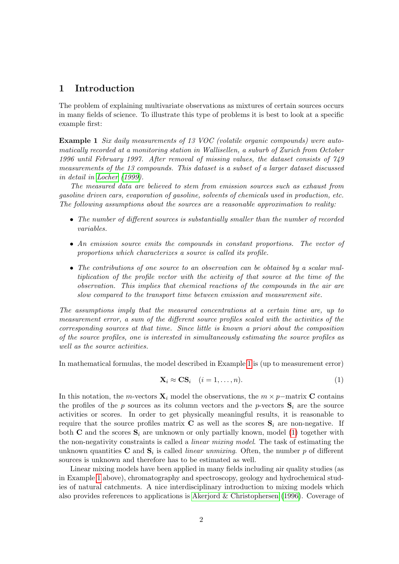### 1 Introduction

The problem of explaining multivariate observations as mixtures of certain sources occurs in many fields of science. To illustrate this type of problems it is best to look at a specific example first:

<span id="page-3-0"></span>Example 1 Six daily measurements of 13 VOC (volatile organic compounds) were automatically recorded at a monitoring station in Wallisellen, a suburb of Zurich from October 1996 until February 1997. After removal of missing values, the dataset consists of 749 measurements of the 13 compounds. This dataset is a subset of a larger dataset discussed in detail in [Locher](#page-21-0) [\(1999\)](#page-21-0).

The measured data are believed to stem from emission sources such as exhaust from gasoline driven cars, evaporation of gasoline, solvents of chemicals used in production, etc. The following assumptions about the sources are a reasonable approximation to reality:

- The number of different sources is substantially smaller than the number of recorded variables.
- An emission source emits the compounds in constant proportions. The vector of proportions which characterizes a source is called its profile.
- The contributions of one source to an observation can be obtained by a scalar multiplication of the profile vector with the activity of that source at the time of the observation. This implies that chemical reactions of the compounds in the air are slow compared to the transport time between emission and measurement site.

The assumptions imply that the measured concentrations at a certain time are, up to measurement error, a sum of the different source profiles scaled with the activities of the corresponding sources at that time. Since little is known a priori about the composition of the source profiles, one is interested in simultaneously estimating the source profiles as well as the source activities.

In mathematical formulas, the model described in Example [1](#page-3-0) is (up to measurement error)

<span id="page-3-1"></span>
$$
\mathbf{X}_i \approx \mathbf{C}\mathbf{S}_i \quad (i = 1, \dots, n). \tag{1}
$$

In this notation, the m-vectors  $\mathbf{X}_i$  model the observations, the  $m \times p$ −matrix **C** contains the profiles of the p sources as its column vectors and the p-vectors  $S_i$  are the source activities or scores. In order to get physically meaningful results, it is reasonable to require that the source profiles matrix  $C$  as well as the scores  $S_i$  are non-negative. If both **C** and the scores  $S_i$  are unknown or only partially known, model [\(1\)](#page-3-1) together with the non-negativity constraints is called a linear mixing model. The task of estimating the unknown quantities **C** and  $S_i$  is called *linear unmixing*. Often, the number p of different sources is unknown and therefore has to be estimated as well.

Linear mixing models have been applied in many fields including air quality studies (as in Example [1](#page-3-0) above), chromatography and spectroscopy, geology and hydrochemical studies of natural catchments. A nice interdisciplinary introduction to mixing models which also provides references to applications is [Akerjord & Christophersen](#page-20-0) [\(1996\)](#page-20-0). Coverage of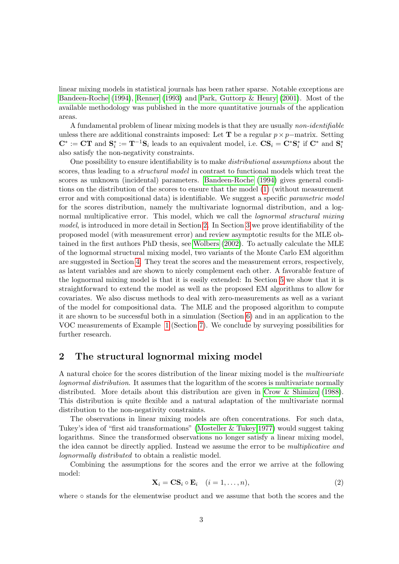linear mixing models in statistical journals has been rather sparse. Notable exceptions are [Bandeen-Roche](#page-20-1) [\(1994\)](#page-20-1), [Renner](#page-21-1) [\(1993\)](#page-21-1) and [Park, Guttorp & Henry](#page-21-2) [\(2001\)](#page-21-2). Most of the available methodology was published in the more quantitative journals of the application areas.

A fundamental problem of linear mixing models is that they are usually non-identifiable unless there are additional constraints imposed: Let **T** be a regular  $p \times p$ −matrix. Setting  $\mathbf{C}^* := \mathbf{C}\mathbf{T}$  and  $\mathbf{S}_i^* := \mathbf{T}^{-1}\mathbf{S}_i$  leads to an equivalent model, i.e.  $\mathbf{C}\mathbf{S}_i = \mathbf{C}^*\mathbf{S}_i^*$  if  $\mathbf{C}^*$  and  $\mathbf{S}_i^*$ also satisfy the non-negativity constraints.

One possibility to ensure identifiability is to make distributional assumptions about the scores, thus leading to a *structural model* in contrast to functional models which treat the scores as unknown (incidental) parameters. [Bandeen-Roche](#page-20-1) [\(1994\)](#page-20-1) gives general conditions on the distribution of the scores to ensure that the model [\(1\)](#page-3-1) (without measurement error and with compositional data) is identifiable. We suggest a specific parametric model for the scores distribution, namely the multivariate lognormal distribution, and a lognormal multiplicative error. This model, which we call the *lognormal structural mixing* model, is introduced in more detail in Section [2.](#page-4-0) In Section [3](#page-5-0) we prove identifiability of the proposed model (with measurement error) and review asymptotic results for the MLE obtained in the first authors PhD thesis, see [Wolbers](#page-21-3) [\(2002\)](#page-21-3). To actually calculate the MLE of the lognormal structural mixing model, two variants of the Monte Carlo EM algorithm are suggested in Section [4.](#page-7-0) They treat the scores and the measurement errors, respectively, as latent variables and are shown to nicely complement each other. A favorable feature of the lognormal mixing model is that it is easily extended: In Section [5](#page-11-0) we show that it is straightforward to extend the model as well as the proposed EM algorithms to allow for covariates. We also discuss methods to deal with zero-measurements as well as a variant of the model for compositional data. The MLE and the proposed algorithm to compute it are shown to be successful both in a simulation (Section [6\)](#page-12-0) and in an application to the VOC measurements of Example [1](#page-3-0) (Section [7\)](#page-14-0). We conclude by surveying possibilities for further research.

## <span id="page-4-0"></span>2 The structural lognormal mixing model

A natural choice for the scores distribution of the linear mixing model is the multivariate lognormal distribution. It assumes that the logarithm of the scores is multivariate normally distributed. More details about this distribution are given in [Crow & Shimizu](#page-20-2) [\(1988\)](#page-20-2). This distribution is quite flexible and a natural adaptation of the multivariate normal distribution to the non-negativity constraints.

The observations in linear mixing models are often concentrations. For such data, Tukey's idea of "first aid transformations" [\(Mosteller & Tukey 1977\)](#page-21-4) would suggest taking logarithms. Since the transformed observations no longer satisfy a linear mixing model, the idea cannot be directly applied. Instead we assume the error to be multiplicative and lognormally distributed to obtain a realistic model.

Combining the assumptions for the scores and the error we arrive at the following model:

<span id="page-4-1"></span>
$$
\mathbf{X}_i = \mathbf{C} \mathbf{S}_i \circ \mathbf{E}_i \quad (i = 1, \dots, n), \tag{2}
$$

where ∘ stands for the elementwise product and we assume that both the scores and the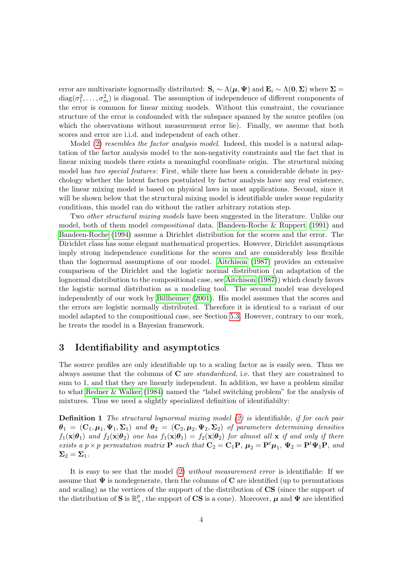error are multivariate lognormally distributed:  $S_i \sim \Lambda(\mu, \Psi)$  and  $E_i \sim \Lambda(0, \Sigma)$  where  $\Sigma =$  $diag(\sigma_1^2, \ldots, \sigma_m^2)$  is diagonal. The assumption of independence of different components of the error is common for linear mixing models. Without this constraint, the covariance structure of the error is confounded with the subspace spanned by the source profiles (on which the observations without measurement error lie). Finally, we assume that both scores and error are i.i.d. and independent of each other.

Model [\(2\)](#page-4-1) resembles the factor analysis model. Indeed, this model is a natural adaptation of the factor analysis model to the non-negativity constraints and the fact that in linear mixing models there exists a meaningful coordinate origin. The structural mixing model has two special features: First, while there has been a considerable debate in psychology whether the latent factors postulated by factor analysis have any real existence, the linear mixing model is based on physical laws in most applications. Second, since it will be shown below that the structural mixing model is identifiable under some regularity conditions, this model can do without the rather arbitrary rotation step.

Two other structural mixing models have been suggested in the literature. Unlike our model, both of them model compositional data. [Bandeen-Roche & Ruppert](#page-20-3) [\(1991\)](#page-20-3) and [Bandeen-Roche](#page-20-1) [\(1994\)](#page-20-1) assume a Dirichlet distribution for the scores and the error. The Dirichlet class has some elegant mathematical properties. However, Dirichlet assumptions imply strong independence conditions for the scores and are considerably less flexible than the lognormal assumptions of our model. [Aitchison](#page-20-4) [\(1987\)](#page-20-4) provides an extensive comparison of the Dirichlet and the logistic normal distribution (an adaptation of the lognormal distribution to the compositional case, see [Aitchison](#page-20-4) [\(1987\)](#page-20-4)) which clearly favors the logistic normal distribution as a modeling tool. The second model was developed independently of our work by [Billheimer](#page-20-5) [\(2001\)](#page-20-5). His model assumes that the scores and the errors are logistic normally distributed. Therefore it is identical to a variant of our model adapted to the compositional case, see Section [5.3.](#page-11-1) However, contrary to our work, he treats the model in a Bayesian framework.

## <span id="page-5-0"></span>3 Identifiability and asymptotics

The source profiles are only identifiable up to a scaling factor as is easily seen. Thus we always assume that the columns of  $C$  are *standardized*, i.e. that they are constrained to sum to 1, and that they are linearly independent. In addition, we have a problem similar to what [Redner & Walker](#page-21-5) [\(1984\)](#page-21-5) named the "label switching problem" for the analysis of mixtures. Thus we need a slightly specialized definition of identifiabilty:

**Definition 1** The structural lognormal mixing model  $(2)$  is identifiable, if for each pair  $\bm{\theta}_1~=~(\mathbf{C}_1,\bm{\mu}_1,\bm{\Psi}_1,\bm{\Sigma}_1)$  and  $\bm{\theta}_2~=~(\mathbf{C}_2,\bm{\mu}_2,\bm{\Psi}_2,\bm{\Sigma}_2)$  of parameters determining densities  $f_1(\mathbf{x}|\boldsymbol{\theta}_1)$  and  $f_2(\mathbf{x}|\boldsymbol{\theta}_2)$  one has  $f_1(\mathbf{x}|\boldsymbol{\theta}_1) = f_2(\mathbf{x}|\boldsymbol{\theta}_2)$  for almost all  $\mathbf{x}$  if and only if there exists a  $p \times p$  permutation matrix **P** such that  $\mathbf{C}_2 = \mathbf{C}_1 \mathbf{P}$ ,  $\boldsymbol{\mu}_2 = \mathbf{P}^t \boldsymbol{\mu}_1$ ,  $\Psi_2 = \mathbf{P}^t \Psi_1 \mathbf{P}$ , and  $\Sigma_2 = \Sigma_1$ .

It is easy to see that the model [\(2\)](#page-4-1) without measurement error is identifiable: If we assume that  $\Psi$  is nondegenerate, then the columns of C are identified (up to permutations and scaling) as the vertices of the support of the distribution of CS (since the support of the distribution of S is  $\mathbb{R}^p_+$ , the support of CS is a cone). Moreover,  $\mu$  and  $\Psi$  are identified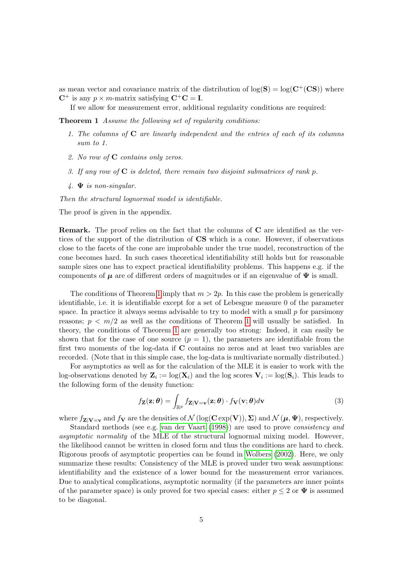as mean vector and covariance matrix of the distribution of  $log(S) = log(C^{+}(CS))$  where  $C^+$  is any  $p \times m$ -matrix satisfying  $C^+C = I$ .

<span id="page-6-0"></span>If we allow for measurement error, additional regularity conditions are required:

Theorem 1 Assume the following set of regularity conditions:

- 1. The columns of  $C$  are linearly independent and the entries of each of its columns sum to 1.
- 2. No row of C contains only zeros.
- 3. If any row of  $C$  is deleted, there remain two disjoint submatrices of rank p.
- $\mathcal{A}$ .  $\Psi$  is non-singular.

Then the structural lognormal model is identifiable.

The proof is given in the appendix.

Remark. The proof relies on the fact that the columns of C are identified as the vertices of the support of the distribution of CS which is a cone. However, if observations close to the facets of the cone are improbable under the true model, reconstruction of the cone becomes hard. In such cases theoretical identifiability still holds but for reasonable sample sizes one has to expect practical identifiability problems. This happens e.g. if the components of  $\mu$  are of different orders of magnitudes or if an eigenvalue of  $\Psi$  is small.

The conditions of Theorem [1](#page-6-0) imply that  $m > 2p$ . In this case the problem is generically identifiable, i.e. it is identifiable except for a set of Lebesgue measure 0 of the parameter space. In practice it always seems advisable to try to model with a small  $p$  for parsimony reasons;  $p \leq m/2$  as well as the conditions of Theorem [1](#page-6-0) will usually be satisfied. In theory, the conditions of Theorem [1](#page-6-0) are generally too strong: Indeed, it can easily be shown that for the case of one source  $(p = 1)$ , the parameters are identifiable from the first two moments of the log-data if C contains no zeros and at least two variables are recorded. (Note that in this simple case, the log-data is multivariate normally distributed.)

For asymptotics as well as for the calculation of the MLE it is easier to work with the log-observations denoted by  $\mathbf{Z}_i := \log(\mathbf{X}_i)$  and the log scores  $\mathbf{V}_i := \log(\mathbf{S}_i)$ . This leads to the following form of the density function:

<span id="page-6-1"></span>
$$
f_{\mathbf{Z}}(\mathbf{z};\boldsymbol{\theta}) = \int_{\mathbb{R}^p} f_{\mathbf{Z}|\mathbf{V}=\mathbf{v}}(\mathbf{z};\boldsymbol{\theta}) \cdot f_{\mathbf{V}}(\mathbf{v};\boldsymbol{\theta}) d\mathbf{v}
$$
(3)

where  $f_{\mathbf{Z}|\mathbf{V}=\mathbf{v}}$  and  $f_{\mathbf{V}}$  are the densities of  $\mathcal{N}(\log(\mathbf{C}\exp(\mathbf{V})), \Sigma)$  and  $\mathcal{N}(\boldsymbol{\mu}, \boldsymbol{\Psi})$ , respectively.

Standard methods (see e.g. [van der Vaart](#page-21-6) [\(1998\)](#page-21-6)) are used to prove consistency and asymptotic normality of the MLE of the structural lognormal mixing model. However, the likelihood cannot be written in closed form and thus the conditions are hard to check. Rigorous proofs of asymptotic properties can be found in [Wolbers](#page-21-3) [\(2002\)](#page-21-3). Here, we only summarize these results: Consistency of the MLE is proved under two weak assumptions: identifiability and the existence of a lower bound for the measurement error variances. Due to analytical complications, asymptotic normality (if the parameters are inner points of the parameter space) is only proved for two special cases: either  $p \leq 2$  or  $\Psi$  is assumed to be diagonal.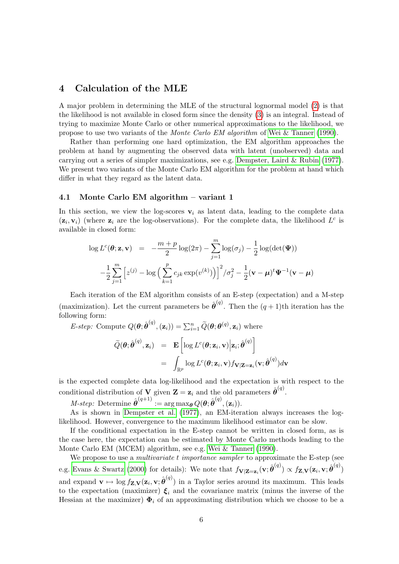## <span id="page-7-0"></span>4 Calculation of the MLE

A major problem in determining the MLE of the structural lognormal model [\(2\)](#page-4-1) is that the likelihood is not available in closed form since the density [\(3\)](#page-6-1) is an integral. Instead of trying to maximize Monte Carlo or other numerical approximations to the likelihood, we propose to use two variants of the Monte Carlo EM algorithm of [Wei & Tanner](#page-21-7) [\(1990\)](#page-21-7).

Rather than performing one hard optimization, the EM algorithm approaches the problem at hand by augmenting the observed data with latent (unobserved) data and carrying out a series of simpler maximizations, see e.g. [Dempster, Laird & Rubin](#page-20-6) [\(1977\)](#page-20-6). We present two variants of the Monte Carlo EM algorithm for the problem at hand which differ in what they regard as the latent data.

#### <span id="page-7-1"></span>4.1 Monte Carlo EM algorithm – variant 1

In this section, we view the log-scores  $v_i$  as latent data, leading to the complete data  $(z_i, v_i)$  (where  $z_i$  are the log-observations). For the complete data, the likelihood  $L^c$  is available in closed form:

$$
\log L^{c}(\boldsymbol{\theta}; \mathbf{z}, \mathbf{v}) = -\frac{m+p}{2} \log(2\pi) - \sum_{j=1}^{m} \log(\sigma_{j}) - \frac{1}{2} \log(\det(\boldsymbol{\Psi}))
$$

$$
-\frac{1}{2} \sum_{j=1}^{m} \left[ z^{(j)} - \log \left( \sum_{k=1}^{p} c_{jk} \exp(v^{(k)}) \right) \right]^2 / \sigma_j^2 - \frac{1}{2} (\mathbf{v} - \boldsymbol{\mu})^t \boldsymbol{\Psi}^{-1} (\mathbf{v} - \boldsymbol{\mu})
$$

Each iteration of the EM algorithm consists of an E-step (expectation) and a M-step (maximization). Let the current parameters be  $\hat{\theta}^{(q)}$ . Then the  $(q+1)$ th iteration has the following form:

E-step: Compute  $Q(\theta; \hat{\theta}^{(q)}, (\mathbf{z}_i)) = \sum_{i=1}^{n} \widetilde{Q}(\theta; \theta^{(q)}, \mathbf{z}_i)$  where

$$
\widetilde{Q}(\boldsymbol{\theta}; \hat{\boldsymbol{\theta}}^{(q)}, \mathbf{z}_i) = \mathbf{E} \left[ \log L^c(\boldsymbol{\theta}; \mathbf{z}_i, \mathbf{v}) \Big| \mathbf{z}_i; \hat{\boldsymbol{\theta}}^{(q)} \right] \n= \int_{\mathbb{R}^p} \log L^c(\boldsymbol{\theta}; \mathbf{z}_i, \mathbf{v}) f_{\mathbf{V}|\mathbf{Z}=\mathbf{z}_i}(\mathbf{v}; \hat{\boldsymbol{\theta}}^{(q)}) d\mathbf{v}
$$

is the expected complete data log-likelihood and the expectation is with respect to the conditional distribution of **V** given  $\mathbf{Z} = \mathbf{z}_i$  and the old parameters  $\hat{\boldsymbol{\theta}}^{(q)}$ .

 $M\text{-}step: \text{ Determine }\hat{\boldsymbol{\theta}}^{(q+1)}:=\arg\max_{\boldsymbol{\theta}} Q(\boldsymbol{\theta};\hat{\boldsymbol{\theta}}^{(q)},(\mathbf{z}_i)).$ 

As is shown in [Dempster et al.](#page-20-6) [\(1977\)](#page-20-6), an EM-iteration always increases the loglikelihood. However, convergence to the maximum likelihood estimator can be slow.

If the conditional expectation in the E-step cannot be written in closed form, as is the case here, the expectation can be estimated by Monte Carlo methods leading to the Monte Carlo EM (MCEM) algorithm, see e.g. [Wei & Tanner](#page-21-7) [\(1990\)](#page-21-7).

We propose to use a *multivariate t importance sampler* to approximate the E-step (see e.g. [Evans & Swartz](#page-20-7) [\(2000\)](#page-20-7) for details): We note that  $f_{\mathbf{V}|\mathbf{Z}=\mathbf{z}_i}(\mathbf{v}; \hat{\boldsymbol{\theta}}^{(q)}) \propto f_{\mathbf{Z},\mathbf{V}}(\mathbf{z}_i, \mathbf{v}; \hat{\boldsymbol{\theta}}^{(q)})$ and expand  $\mathbf{v} \mapsto \log f_{\mathbf{Z},\mathbf{V}}(\mathbf{z}_i,\mathbf{v}; \hat{\boldsymbol{\theta}}^{(q)})$  in a Taylor series around its maximum. This leads to the expectation (maximizer)  $\xi_i$  and the covariance matrix (minus the inverse of the Hessian at the maximizer)  $\Phi_i$  of an approximating distribution which we choose to be a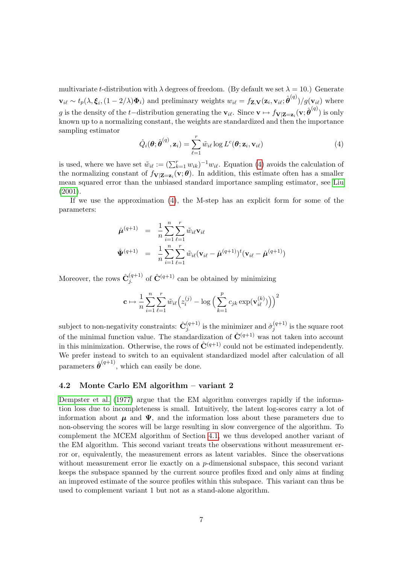multivariate t-distribution with  $\lambda$  degrees of freedom. (By default we set  $\lambda = 10$ .) Generate  $\mathbf{v}_{i\ell} \sim t_p(\lambda, \boldsymbol{\xi}_i, (1 - 2/\lambda)\boldsymbol{\Phi}_i)$  and preliminary weights  $w_{i\ell} = f_{\mathbf{Z},\mathbf{V}}(\mathbf{z}_i, \mathbf{v}_{i\ell}; \hat{\boldsymbol{\theta}}^{(q)})/g(\mathbf{v}_{i\ell})$  where g is the density of the t-distribution generating the  $\mathbf{v}_{i\ell}$ . Since  $\mathbf{v} \mapsto f_{\mathbf{V}|\mathbf{Z}=\mathbf{z}_i}(\mathbf{v}; \hat{\boldsymbol{\theta}}^{(q)})$  is only known up to a normalizing constant, the weights are standardized and then the importance sampling estimator

<span id="page-8-0"></span>
$$
\hat{Q}_i(\boldsymbol{\theta}; \hat{\boldsymbol{\theta}}^{(q)}, \mathbf{z}_i) = \sum_{\ell=1}^r \tilde{w}_{i\ell} \log L^c(\boldsymbol{\theta}; \mathbf{z}_i, \mathbf{v}_{i\ell})
$$
(4)

is used, where we have set  $\tilde{w}_{i\ell} := (\sum_{k=1}^r w_{ik})^{-1}w_{i\ell}$ . Equation [\(4\)](#page-8-0) avoids the calculation of the normalizing constant of  $f_{\mathbf{V}|\mathbf{Z}=\mathbf{z}_i}(\mathbf{v};\boldsymbol{\theta})$ . In addition, this estimate often has a smaller mean squared error than the unbiased standard importance sampling estimator, see [Liu](#page-20-8) [\(2001\)](#page-20-8).

If we use the approximation [\(4\)](#page-8-0), the M-step has an explicit form for some of the parameters:

$$
\hat{\boldsymbol{\mu}}^{(q+1)} = \frac{1}{n} \sum_{i=1}^{n} \sum_{\ell=1}^{r} \tilde{w}_{i\ell} \mathbf{v}_{i\ell}
$$
\n
$$
\hat{\boldsymbol{\Psi}}^{(q+1)} = \frac{1}{n} \sum_{i=1}^{n} \sum_{\ell=1}^{r} \tilde{w}_{i\ell} (\mathbf{v}_{i\ell} - \hat{\boldsymbol{\mu}}^{(q+1)})^t (\mathbf{v}_{i\ell} - \hat{\boldsymbol{\mu}}^{(q+1)})
$$

Moreover, the rows  $\hat{\mathbf{C}}_{j.}^{(q+1)}$  of  $\hat{\mathbf{C}}^{(q+1)}$  can be obtained by minimizing

$$
\mathbf{c} \mapsto \frac{1}{n} \sum_{i=1}^{n} \sum_{\ell=1}^{r} \tilde{w}_{i\ell} \Big( z_i^{(j)} - \log \Big( \sum_{k=1}^{p} c_{jk} \exp(\mathbf{v}_{i\ell}^{(k)}) \Big) \Big)^2
$$

subject to non-negativity constraints:  $\hat{\mathbf{C}}_{j.}^{(q+1)}$  is the minimizer and  $\hat{\sigma}_j^{(q+1)}$  $j^{(q+1)}$  is the square root of the minimal function value. The standardization of  $\hat{\mathbf{C}}^{(q+1)}$  was not taken into account in this minimization. Otherwise, the rows of  $\hat{\mathbf{C}}^{(q+1)}$  could not be estimated independently. We prefer instead to switch to an equivalent standardized model after calculation of all parameters  $\hat{\boldsymbol{\theta}}^{(q+1)}$ , which can easily be done.

#### <span id="page-8-1"></span>4.2 Monte Carlo EM algorithm – variant 2

[Dempster et al.](#page-20-6) [\(1977\)](#page-20-6) argue that the EM algorithm converges rapidly if the information loss due to incompleteness is small. Intuitively, the latent log-scores carry a lot of information about  $\mu$  and  $\Psi$ , and the information loss about these parameters due to non-observing the scores will be large resulting in slow convergence of the algorithm. To complement the MCEM algorithm of Section [4.1,](#page-7-1) we thus developed another variant of the EM algorithm. This second variant treats the observations without measurement error or, equivalently, the measurement errors as latent variables. Since the observations without measurement error lie exactly on a p-dimensional subspace, this second variant keeps the subspace spanned by the current source profiles fixed and only aims at finding an improved estimate of the source profiles within this subspace. This variant can thus be used to complement variant 1 but not as a stand-alone algorithm.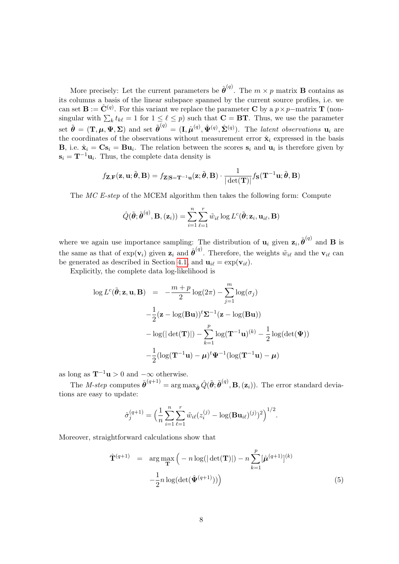More precisely: Let the current parameters be  $\hat{\boldsymbol{\theta}}^{(q)}$ . The  $m \times p$  matrix **B** contains as its columns a basis of the linear subspace spanned by the current source profiles, i.e. we can set  $\mathbf{B} := \hat{\mathbf{C}}^{(q)}$ . For this variant we replace the parameter  $\mathbf{C}$  by a  $p \times p$ –matrix  $\mathbf{T}$  (nonsingular with  $\sum_k t_{k\ell} = 1$  for  $1 \leq \ell \leq p$ ) such that  $\mathbf{C} = \mathbf{BT}$ . Thus, we use the parameter set  $\tilde{\boldsymbol{\theta}} = (\mathbf{T}, \boldsymbol{\mu}, \boldsymbol{\Psi}, \boldsymbol{\Sigma})$  and set  $\tilde{\boldsymbol{\theta}}^{(q)} = (\mathbf{I}, \hat{\boldsymbol{\mu}}^{(q)}, \hat{\boldsymbol{\Psi}}^{(q)}, \hat{\boldsymbol{\Sigma}}^{(q)})$ . The *latent observations*  $\mathbf{u}_i$  are the coordinates of the observations without measurement error  $\hat{\mathbf{x}}_i$  expressed in the basis **B**, i.e.  $\hat{\mathbf{x}}_i = \mathbf{C}\mathbf{s}_i = \mathbf{B}\mathbf{u}_i$ . The relation between the scores  $\mathbf{s}_i$  and  $\mathbf{u}_i$  is therefore given by  $\mathbf{s}_i = \mathbf{T}^{-1}\mathbf{u}_i$ . Thus, the complete data density is

$$
f_{\mathbf{Z},\mathbf{F}}(\mathbf{z},\mathbf{u};\tilde{\boldsymbol{\theta}},\mathbf{B}) = f_{\mathbf{Z}|\mathbf{S}=\mathbf{T}^{-1}\mathbf{u}}(\mathbf{z};\tilde{\boldsymbol{\theta}},\mathbf{B}) \cdot \frac{1}{|\det(\mathbf{T})|} f_{\mathbf{S}}(\mathbf{T}^{-1}\mathbf{u};\tilde{\boldsymbol{\theta}},\mathbf{B})
$$

The MC E-step of the MCEM algorithm then takes the following form: Compute

$$
\hat{Q}(\tilde{\boldsymbol{\theta}};\tilde{\boldsymbol{\theta}}^{(q)},\mathbf{B},(\mathbf{z}_i))=\sum_{i=1}^n\sum_{\ell=1}^r\tilde{w}_{i\ell}\log L^c(\tilde{\boldsymbol{\theta}};\mathbf{z}_i,\mathbf{u}_{i\ell},\mathbf{B})
$$

where we again use importance sampling: The distribution of  $\mathbf{u}_i$  given  $\mathbf{z}_i, \tilde{\boldsymbol{\theta}}^{(q)}$  and **B** is the same as that of  $\exp(\mathbf{v}_i)$  given  $\mathbf{z}_i$  and  $\hat{\boldsymbol{\theta}}^{(q)}$ . Therefore, the weights  $\tilde{w}_{i\ell}$  and the  $\mathbf{v}_{i\ell}$  can be generated as described in Section [4.1,](#page-7-1) and  $\mathbf{u}_{i\ell} = \exp(\mathbf{v}_{i\ell}).$ 

Explicitly, the complete data log-likelihood is

$$
\log L^{c}(\tilde{\boldsymbol{\theta}}; \mathbf{z}, \mathbf{u}, \mathbf{B}) = -\frac{m+p}{2} \log(2\pi) - \sum_{j=1}^{m} \log(\sigma_{j})
$$

$$
-\frac{1}{2} (\mathbf{z} - \log(\mathbf{B}\mathbf{u}))^{\dagger} \mathbf{\Sigma}^{-1} (\mathbf{z} - \log(\mathbf{B}\mathbf{u}))
$$

$$
-\log(|\det(\mathbf{T})|) - \sum_{k=1}^{p} \log(\mathbf{T}^{-1}\mathbf{u})^{(k)} - \frac{1}{2} \log(\det(\mathbf{\Psi}))
$$

$$
-\frac{1}{2} (\log(\mathbf{T}^{-1}\mathbf{u}) - \boldsymbol{\mu})^{\dagger} \mathbf{\Psi}^{-1} (\log(\mathbf{T}^{-1}\mathbf{u}) - \boldsymbol{\mu})
$$

as long as  $\mathbf{T}^{-1}\mathbf{u} > 0$  and  $-\infty$  otherwise.

The *M-step* computes  $\tilde{\boldsymbol{\theta}}^{(q+1)} = \arg \max_{\tilde{\boldsymbol{\theta}}} \hat{Q}(\tilde{\boldsymbol{\theta}}; \tilde{\boldsymbol{\theta}}^{(q)}, \mathbf{B}, (\mathbf{z}_i))$ . The error standard deviations are easy to update:

$$
\hat{\sigma}_j^{(q+1)} = \Big(\frac{1}{n}\sum_{i=1}^n \sum_{\ell=1}^r \tilde{w}_{i\ell}(z_i^{(j)} - \log(\mathbf{B}\mathbf{u}_{i\ell})^{(j)})^2\Big)^{1/2}.
$$

Moreover, straightforward calculations show that

<span id="page-9-0"></span>
$$
\hat{\mathbf{T}}^{(q+1)} = \arg \max_{\mathbf{T}} \left( -n \log(|\det(\mathbf{T})|) - n \sum_{k=1}^{p} [\hat{\boldsymbol{\mu}}^{(q+1)}]^{(k)} - \frac{1}{2} n \log(\det(\hat{\boldsymbol{\Psi}}^{(q+1)})) \right)
$$
\n(5)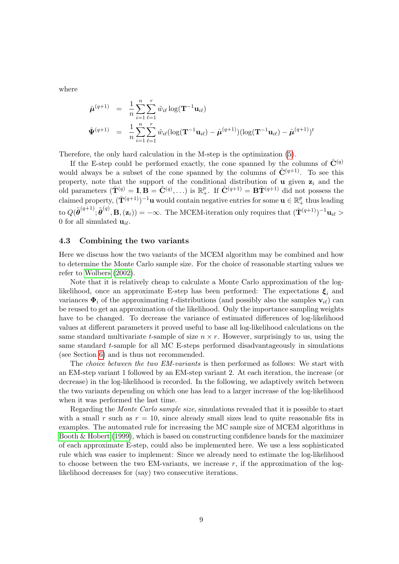where

$$
\hat{\boldsymbol{\mu}}^{(q+1)} = \frac{1}{n} \sum_{i=1}^{n} \sum_{\ell=1}^{r} \tilde{w}_{i\ell} \log(\mathbf{T}^{-1} \mathbf{u}_{i\ell})
$$
\n
$$
\hat{\boldsymbol{\Psi}}^{(q+1)} = \frac{1}{n} \sum_{i=1}^{n} \sum_{\ell=1}^{r} \tilde{w}_{i\ell} (\log(\mathbf{T}^{-1} \mathbf{u}_{i\ell}) - \hat{\boldsymbol{\mu}}^{(q+1)}) (\log(\mathbf{T}^{-1} \mathbf{u}_{i\ell}) - \hat{\boldsymbol{\mu}}^{(q+1)})^t
$$

Therefore, the only hard calculation in the M-step is the optimization [\(5\)](#page-9-0).

If the E-step could be performed exactly, the cone spanned by the columns of  $\hat{\mathbf{C}}^{(q)}$ would always be a subset of the cone spanned by the columns of  $\hat{\mathbf{C}}^{(q+1)}$ . To see this property, note that the support of the conditional distribution of  $\bf{u}$  given  $\bf{z}_i$  and the old parameters  $(\hat{\mathbf{T}}^{(q)} = \mathbf{I}, \mathbf{B} = \hat{\mathbf{C}}^{(q)}, \ldots)$  is  $\mathbb{R}^p_+$ . If  $\hat{\mathbf{C}}^{(q+1)} = \mathbf{B} \hat{\mathbf{T}}^{(q+1)}$  did not possess the claimed property,  $(\hat{\mathbf{T}}^{(q+1)})^{-1}\mathbf{u}$  would contain negative entries for some  $\mathbf{u} \in \mathbb{R}_+^p$  thus leading  $\mathrm{to} \; Q(\tilde{\boldsymbol{\theta}}^{(q+1)}; \tilde{\boldsymbol{\theta}}^{(q)}, \mathbf{B}, (\mathbf{z}_i)) = -\infty. \text{ The MCEM-iteration only requires that } (\hat{\mathbf{T}}^{(q+1)})^{-1} \mathbf{u}_{i\ell} > 0.$ 0 for all simulated  $\mathbf{u}_{i\ell}$ .

#### <span id="page-10-0"></span>4.3 Combining the two variants

Here we discuss how the two variants of the MCEM algorithm may be combined and how to determine the Monte Carlo sample size. For the choice of reasonable starting values we refer to [Wolbers](#page-21-3) [\(2002\)](#page-21-3).

Note that it is relatively cheap to calculate a Monte Carlo approximation of the loglikelihood, once an approximate E-step has been performed: The expectations  $\xi_i$  and variances  $\Phi_i$  of the approximating t-distributions (and possibly also the samples  $\mathbf{v}_{i\ell}$ ) can be reused to get an approximation of the likelihood. Only the importance sampling weights have to be changed. To decrease the variance of estimated differences of log-likelihood values at different parameters it proved useful to base all log-likelihood calculations on the same standard multivariate t-sample of size  $n \times r$ . However, surprisingly to us, using the same standard  $t$ -sample for all MC E-steps performed disadvantageously in simulations (see Section [6\)](#page-12-0) and is thus not recommended.

The choice between the two EM-variants is then performed as follows: We start with an EM-step variant 1 followed by an EM-step variant 2. At each iteration, the increase (or decrease) in the log-likelihood is recorded. In the following, we adaptively switch between the two variants depending on which one has lead to a larger increase of the log-likelihood when it was performed the last time.

Regarding the Monte Carlo sample size, simulations revealed that it is possible to start with a small r such as  $r = 10$ , since already small sizes lead to quite reasonable fits in examples. The automated rule for increasing the MC sample size of MCEM algorithms in Booth  $\&$  Hobert [\(1999\)](#page-20-9), which is based on constructing confidence bands for the maximizer of each approximate E-step, could also be implemented here. We use a less sophisticated rule which was easier to implement: Since we already need to estimate the log-likelihood to choose between the two EM-variants, we increase  $r$ , if the approximation of the loglikelihood decreases for (say) two consecutive iterations.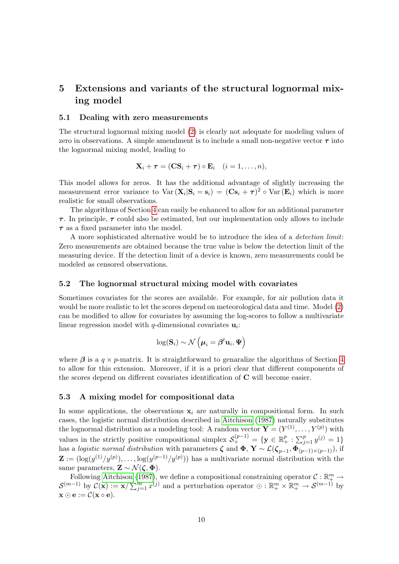## <span id="page-11-0"></span>5 Extensions and variants of the structural lognormal mixing model

#### <span id="page-11-2"></span>5.1 Dealing with zero measurements

The structural lognormal mixing model [\(2\)](#page-4-1) is clearly not adequate for modeling values of zero in observations. A simple amendment is to include a small non-negative vector  $\tau$  into the lognormal mixing model, leading to

$$
\mathbf{X}_i + \boldsymbol{\tau} = (\mathbf{C}\mathbf{S}_i + \boldsymbol{\tau}) \circ \mathbf{E}_i \quad (i = 1, \dots, n),
$$

This model allows for zeros. It has the additional advantage of slightly increasing the measurement error variance to  $\text{Var}(\mathbf{X}_i|\mathbf{S}_i=\mathbf{s}_i) = (\mathbf{C}\mathbf{s}_i + \boldsymbol{\tau})^2 \circ \text{Var}(\mathbf{E}_i)$  which is more realistic for small observations.

The algorithms of Section [4](#page-7-0) can easily be enhanced to allow for an additional parameter  $\tau$ . In principle,  $\tau$  could also be estimated, but our implementation only allows to include  $\tau$  as a fixed parameter into the model.

A more sophisticated alternative would be to introduce the idea of a detection limit: Zero measurements are obtained because the true value is below the detection limit of the measuring device. If the detection limit of a device is known, zero measurements could be modeled as censored observations.

#### <span id="page-11-3"></span>5.2 The lognormal structural mixing model with covariates

Sometimes covariates for the scores are available. For example, for air pollution data it would be more realistic to let the scores depend on meteorological data and time. Model [\(2\)](#page-4-1) can be modified to allow for covariates by assuming the log-scores to follow a multivariate linear regression model with q-dimensional covariates  $\mathbf{u}_i$ :

$$
\log(\mathbf{S}_i) \sim \mathcal{N}\left(\boldsymbol{\mu}_i = \boldsymbol{\beta}^t \mathbf{u}_i, \boldsymbol{\Psi}\right)
$$

where  $\beta$  is a  $q \times p$ -matrix. It is straightforward to genaralize the algorithms of Section [4](#page-7-0) to allow for this extension. Moreover, if it is a priori clear that different components of the scores depend on different covariates identification of C will become easier.

#### <span id="page-11-1"></span>5.3 A mixing model for compositional data

In some applications, the observations  $x_i$  are naturally in compositional form. In such cases, the logistic normal distribution described in [Aitchison](#page-20-4) [\(1987\)](#page-20-4) naturally substitutes the lognormal distribution as a modeling tool: A random vector  $\mathbf{Y} = (Y^{(1)}, \dots, Y^{(p)})$  with values in the strictly positive compositional simplex  $\mathcal{S}_{+}^{(p-1)} = \{ \mathbf{y} \in \mathbb{R}_{+}^{p} : \sum_{j=1}^{p} y^{(j)} = 1 \}$ has a logistic normal distribution with parameters  $\zeta$  and  $\Phi$ ,  $\mathbf{Y} \sim \mathcal{L}(\zeta_{p-1}, \Phi_{(p-1)\times (p-1)})$ , if  $\mathbf{Z} := (\log(y^{(1)}/y^{(p)}), \ldots, \log(y^{(p-1)}/y^{(p)}))$  has a multivariate normal distribution with the same parameters,  $\mathbf{Z} \sim \mathcal{N}(\zeta, \Phi)$ .

Following [Aitchison](#page-20-4) [\(1987\)](#page-20-4), we define a compositional constraining operator  $\mathcal{C}: \mathbb{R}^m_+ \to$  $\mathcal{S}^{(m-1)}$  by  $\mathcal{C}(\mathbf{x}) := \mathbf{x}/\sum_{j=1}^{m} x^{(j)}$  and a perturbation operator  $\odot : \mathbb{R}_{+}^{m} \times \mathbb{R}_{+}^{m} \to \mathcal{S}^{(m-1)}$  by  $\mathbf{x} \odot \mathbf{e} := \mathcal{C}(\mathbf{x} \circ \mathbf{e}).$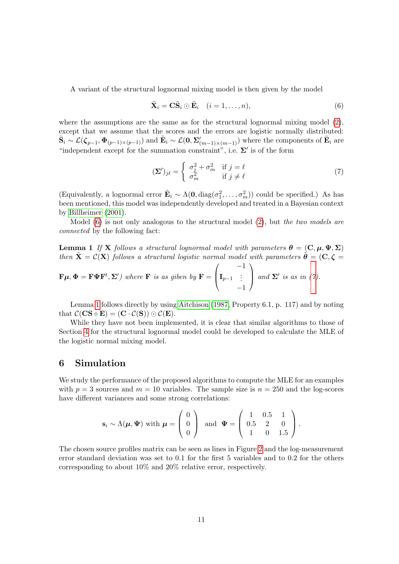A variant of the structural lognormal mixing model is then given by the model

<span id="page-12-1"></span>
$$
\tilde{\mathbf{X}}_i = \mathbf{C}\tilde{\mathbf{S}}_i \odot \tilde{\mathbf{E}}_i \quad (i = 1, \dots, n),
$$
\n(6)

where the assumptions are the same as for the structural lognormal mixing model [\(2\)](#page-4-1), except that we assume that the scores and the errors are logistic normally distributed:  $\tilde{\mathbf{S}}_i \sim \mathcal{L}(\boldsymbol{\zeta}_{p-1}, \boldsymbol{\Phi}_{(p-1)\times (p-1)})$  and  $\tilde{\mathbf{E}}_i \sim \mathcal{L}(\mathbf{0}, \boldsymbol{\Sigma}_{(m-1)\times (m-1)}')$  where the components of  $\tilde{\mathbf{E}}_i$  are "independent except for the summation constraint", i.e.  $\Sigma'$  is of the form

<span id="page-12-2"></span>
$$
(\mathbf{\Sigma}')_{j\ell} = \begin{cases} \sigma_j^2 + \sigma_m^2 & \text{if } j = \ell \\ \sigma_m^2 & \text{if } j \neq \ell \end{cases}
$$
 (7)

(Equivalently, a lognormal error  $\tilde{\mathbf{E}}_i \sim \Lambda(\mathbf{0}, \text{diag}(\sigma_1^2, \ldots, \sigma_m^2))$  could be specified.) As has been mentioned, this model was independently developed and treated in a Bayesian context by [Billheimer](#page-20-5) [\(2001\)](#page-20-5).

Model  $(6)$  is not only analogous to the structural model  $(2)$ , but the two models are connected by the following fact:

<span id="page-12-3"></span>**Lemma 1** If **X** follows a structural lognormal model with parameters  $\theta = (\mathbf{C}, \mathbf{u}, \Psi, \Sigma)$ then  $\tilde{\mathbf{X}} = \mathcal{C}(\mathbf{X})$  follows a structural logistic normal model with parameters  $\tilde{\boldsymbol{\theta}} = (\mathbf{C}, \boldsymbol{\zeta})$  $\sqrt{2}$ 

$$
\mathbf{F}\boldsymbol{\mu}, \boldsymbol{\Phi} = \mathbf{F}\boldsymbol{\Psi}\mathbf{F}^{t}, \boldsymbol{\Sigma}'\text{) where } \mathbf{F} \text{ is as given by } \mathbf{F} = \begin{pmatrix} -1 \\ \mathbf{I}_{p-1} & \vdots \\ -1 \end{pmatrix} \text{ and } \boldsymbol{\Sigma}' \text{ is as in (7).}
$$

Lemma [1](#page-12-3) follows directly by using [Aitchison](#page-20-4) [\(1987,](#page-20-4) Property 6.1, p. 117) and by noting that  $\mathcal{C}(\mathbf{CS} \circ \mathbf{E}) = (\mathbf{C} \cdot \mathcal{C}(\mathbf{S})) \odot \mathcal{C}(\mathbf{E}).$ 

While they have not been implemented, it is clear that similar algorithms to those of Section [4](#page-7-0) for the structural lognormal model could be developed to calculate the MLE of the logistic normal mixing model.

## <span id="page-12-0"></span>6 Simulation

We study the performance of the proposed algorithms to compute the MLE for an examples with  $p = 3$  sources and  $m = 10$  variables. The sample size is  $n = 250$  and the log-scores have different variances and some strong correlations:

$$
\mathbf{s}_{i} \sim \Lambda(\boldsymbol{\mu}, \boldsymbol{\Psi}) \text{ with } \boldsymbol{\mu} = \begin{pmatrix} 0 \\ 0 \\ 0 \end{pmatrix} \text{ and } \boldsymbol{\Psi} = \begin{pmatrix} 1 & 0.5 & 1 \\ 0.5 & 2 & 0 \\ 1 & 0 & 1.5 \end{pmatrix}.
$$

The chosen source profiles matrix can be seen as lines in Figure [2](#page-15-0) and the log-measurement error standard deviation was set to 0.1 for the first 5 variables and to 0.2 for the others corresponding to about 10% and 20% relative error, respectively.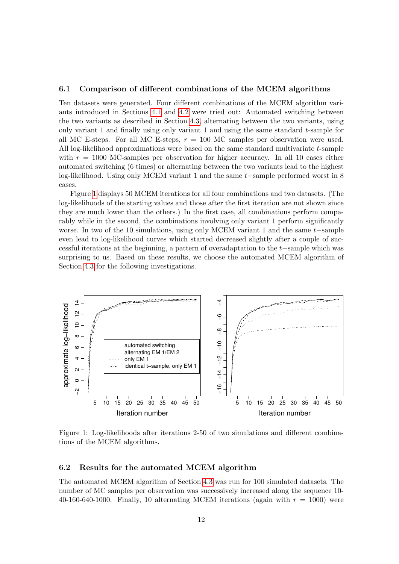#### 6.1 Comparison of different combinations of the MCEM algorithms

Ten datasets were generated. Four different combinations of the MCEM algorithm variants introduced in Sections [4.1](#page-7-1) and [4.2](#page-8-1) were tried out: Automated switching between the two variants as described in Section [4.3,](#page-10-0) alternating between the two variants, using only variant 1 and finally using only variant 1 and using the same standard t-sample for all MC E-steps. For all MC E-steps,  $r = 100$  MC samples per observation were used. All log-likelihood approximations were based on the same standard multivariate t-sample with  $r = 1000$  MC-samples per observation for higher accuracy. In all 10 cases either automated switching (6 times) or alternating between the two variants lead to the highest log-likelihood. Using only MCEM variant 1 and the same t−sample performed worst in 8 cases.

Figure [1](#page-13-0) displays 50 MCEM iterations for all four combinations and two datasets. (The log-likelihoods of the starting values and those after the first iteration are not shown since they are much lower than the others.) In the first case, all combinations perform comparably while in the second, the combinations involving only variant 1 perform significantly worse. In two of the 10 simulations, using only MCEM variant 1 and the same t–sample even lead to log-likelihood curves which started decreased slightly after a couple of successful iterations at the beginning, a pattern of overadaptation to the t−sample which was surprising to us. Based on these results, we choose the automated MCEM algorithm of Section [4.3](#page-10-0) for the following investigations.



<span id="page-13-0"></span>Figure 1: Log-likelihoods after iterations 2-50 of two simulations and different combinations of the MCEM algorithms.

#### 6.2 Results for the automated MCEM algorithm

The automated MCEM algorithm of Section [4.3](#page-10-0) was run for 100 simulated datasets. The number of MC samples per observation was successively increased along the sequence 10- 40-160-640-1000. Finally, 10 alternating MCEM iterations (again with  $r = 1000$ ) were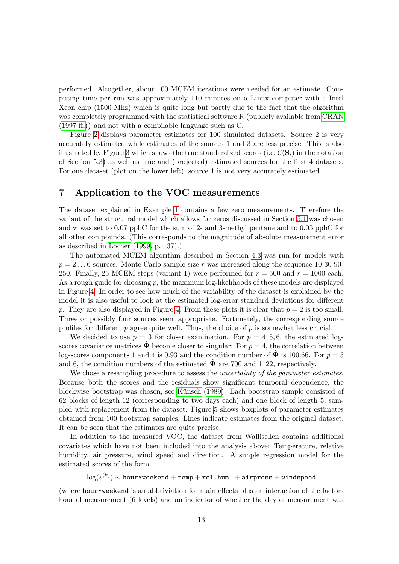performed. Altogether, about 100 MCEM iterations were needed for an estimate. Computing time per run was approximately 110 minutes on a Linux computer with a Intel Xeon chip (1500 Mhz) which is quite long but partly due to the fact that the algorithm was completely programmed with the statistical software R (publicly available from [CRAN](#page-20-10) [\(1997 ff.\)](#page-20-10)) and not with a compilable language such as C.

Figure [2](#page-15-0) displays parameter estimates for 100 simulated datasets. Source 2 is very accurately estimated while estimates of the sources 1 and 3 are less precise. This is also illustrated by Figure [3](#page-16-0) which shows the true standardized scores (i.e.  $\mathcal{C}(\mathbf{S}_i)$ ) in the notation of Section [5.3\)](#page-11-1) as well as true and (projected) estimated sources for the first 4 datasets. For one dataset (plot on the lower left), source 1 is not very accurately estimated.

## <span id="page-14-0"></span>7 Application to the VOC measurements

The dataset explained in Example [1](#page-3-0) contains a few zero measurements. Therefore the variant of the structural model which allows for zeros discussed in Section [5.1](#page-11-2) was chosen and  $\tau$  was set to 0.07 ppbC for the sum of 2- and 3-methyl pentane and to 0.05 ppbC for all other compounds. (This corresponds to the magnitude of absolute measurement error as described in [Locher](#page-21-0) [\(1999,](#page-21-0) p. 137).)

The automated MCEM algorithm described in Section [4.3](#page-10-0) was run for models with  $p = 2 \dots 6$  sources. Monte Carlo sample size r was increased along the sequence 10-30-90-250. Finally, 25 MCEM steps (variant 1) were performed for  $r = 500$  and  $r = 1000$  each. As a rough guide for choosing p, the maximum log-likelihoods of these models are displayed in Figure [4.](#page-17-0) In order to see how much of the variability of the dataset is explained by the model it is also useful to look at the estimated log-error standard deviations for different p. They are also displayed in Figure [4.](#page-17-0) From these plots it is clear that  $p = 2$  is too small. Three or possibly four sources seem appropriate. Fortunately, the corresponding source profiles for different  $p$  agree quite well. Thus, the choice of  $p$  is somewhat less crucial.

We decided to use  $p = 3$  for closer examination. For  $p = 4, 5, 6$ , the estimated logscores covariance matrices  $\tilde{\Psi}$  become closer to singular: For  $p = 4$ , the correlation between log-scores components 1 and 4 is 0.93 and the condition number of  $\ddot{\mathbf{\Psi}}$  is 100.66. For  $p = 5$ and 6, the condition numbers of the estimated  $\mathbf{\Psi}$  are 700 and 1122, respectively.

We chose a resampling procedure to assess the *uncertainty of the parameter estimates*. Because both the scores and the residuals show significant temporal dependence, the blockwise bootstrap was chosen, see Künsch [\(1989\)](#page-20-11). Each bootstrap sample consisted of 62 blocks of length 12 (corresponding to two days each) and one block of length 5, sampled with replacement from the dataset. Figure [5](#page-18-0) shows boxplots of parameter estimates obtained from 100 bootstrap samples. Lines indicate estimates from the original dataset. It can be seen that the estimates are quite precise.

In addition to the measured VOC, the dataset from Wallisellen contains additional covariates which have not been included into the analysis above: Temperature, relative humidity, air pressure, wind speed and direction. A simple regression model for the estimated scores of the form

 $\log(\hat{s}^{(k)}) \sim \texttt{hour*}$ weekend  $+$  temp  $+$  rel.hum.  $+$  airpress  $+$  windspeed

(where hour\*weekend is an abbriviation for main effects plus an interaction of the factors hour of measurement (6 levels) and an indicator of whether the day of measurement was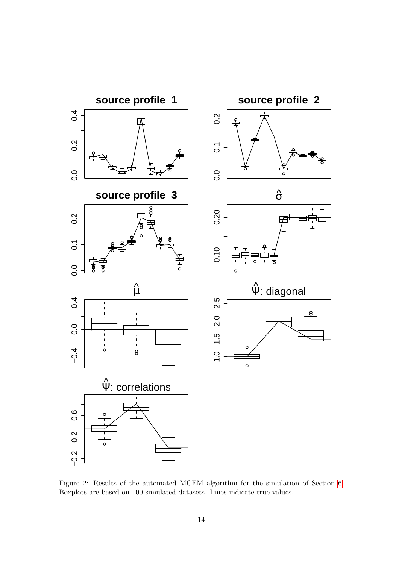

<span id="page-15-0"></span>Figure 2: Results of the automated MCEM algorithm for the simulation of Section [6.](#page-12-0) Boxplots are based on 100 simulated datasets. Lines indicate true values.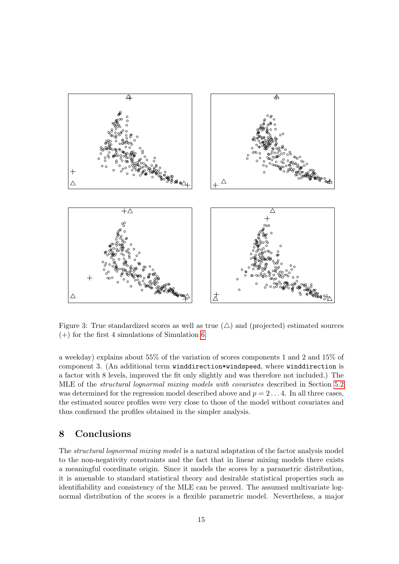

<span id="page-16-0"></span>Figure 3: True standardized scores as well as true  $(\triangle)$  and (projected) estimated sources  $(+)$  for the first 4 simulations of Simulation [6.](#page-12-0)

a weekday) explains about 55% of the variation of scores components 1 and 2 and 15% of component 3. (An additional term winddirection\*windspeed, where winddirection is a factor with 8 levels, improved the fit only slightly and was therefore not included.) The MLE of the structural lognormal mixing models with covariates described in Section [5.2](#page-11-3) was determined for the regression model described above and  $p = 2 \dots 4$ . In all three cases, the estimated source profiles were very close to those of the model without covariates and thus confirmed the profiles obtained in the simpler analysis.

## 8 Conclusions

The structural lognormal mixing model is a natural adaptation of the factor analysis model to the non-negativity constraints and the fact that in linear mixing models there exists a meaningful coordinate origin. Since it models the scores by a parametric distribution, it is amenable to standard statistical theory and desirable statistical properties such as identifiability and consistency of the MLE can be proved. The assumed multivariate lognormal distribution of the scores is a flexible parametric model. Nevertheless, a major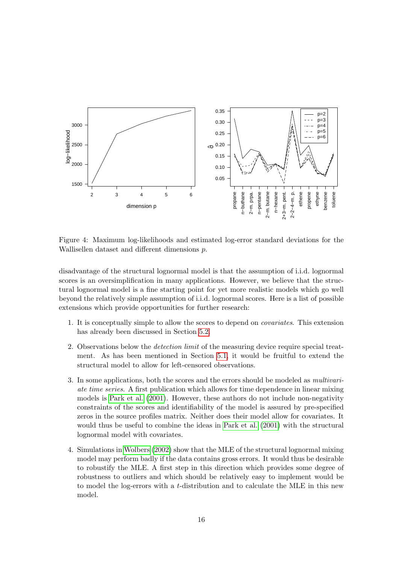

<span id="page-17-0"></span>Figure 4: Maximum log-likelihoods and estimated log-error standard deviations for the Wallisellen dataset and different dimensions p.

disadvantage of the structural lognormal model is that the assumption of i.i.d. lognormal scores is an oversimplification in many applications. However, we believe that the structural lognormal model is a fine starting point for yet more realistic models which go well beyond the relatively simple assumption of i.i.d. lognormal scores. Here is a list of possible extensions which provide opportunities for further research:

- 1. It is conceptually simple to allow the scores to depend on covariates. This extension has already been discussed in Section [5.2.](#page-11-3)
- 2. Observations below the detection limit of the measuring device require special treatment. As has been mentioned in Section [5.1,](#page-11-2) it would be fruitful to extend the structural model to allow for left-censored observations.
- 3. In some applications, both the scores and the errors should be modeled as multivariate time series. A first publication which allows for time dependence in linear mixing models is [Park et al.](#page-21-2) [\(2001\)](#page-21-2). However, these authors do not include non-negativity constraints of the scores and identifiability of the model is assured by pre-specified zeros in the source profiles matrix. Neither does their model allow for covariates. It would thus be useful to combine the ideas in [Park et al.](#page-21-2) [\(2001\)](#page-21-2) with the structural lognormal model with covariates.
- 4. Simulations in [Wolbers](#page-21-3) [\(2002\)](#page-21-3) show that the MLE of the structural lognormal mixing model may perform badly if the data contains gross errors. It would thus be desirable to robustify the MLE. A first step in this direction which provides some degree of robustness to outliers and which should be relatively easy to implement would be to model the log-errors with a t-distribution and to calculate the MLE in this new model.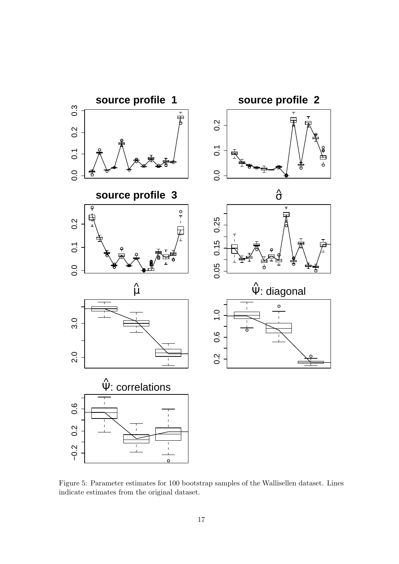

<span id="page-18-0"></span>Figure 5: Parameter estimates for 100 bootstrap samples of the Wallisellen dataset. Lines indicate estimates from the original dataset.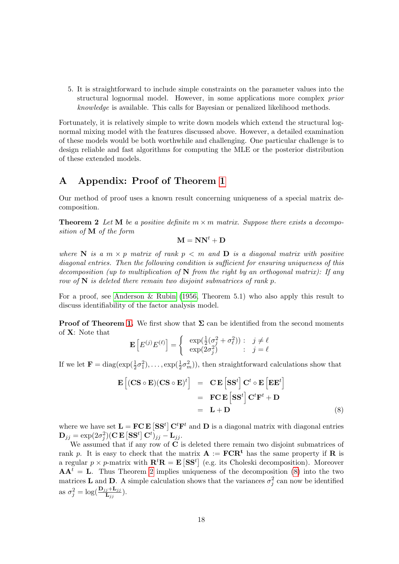5. It is straightforward to include simple constraints on the parameter values into the structural lognormal model. However, in some applications more complex prior knowledge is available. This calls for Bayesian or penalized likelihood methods.

Fortunately, it is relatively simple to write down models which extend the structural lognormal mixing model with the features discussed above. However, a detailed examination of these models would be both worthwhile and challenging. One particular challenge is to design reliable and fast algorithms for computing the MLE or the posterior distribution of these extended models.

## A Appendix: Proof of Theorem [1](#page-6-0)

<span id="page-19-0"></span>Our method of proof uses a known result concerning uniqueness of a special matrix decomposition.

**Theorem 2** Let M be a positive definite  $m \times m$  matrix. Suppose there exists a decomposition of M of the form

 $M = NN<sup>t</sup> + D$ 

where N is a  $m \times p$  matrix of rank  $p \lt m$  and D is a diagonal matrix with positive diagonal entries. Then the following condition is sufficient for ensuring uniqueness of this decomposition (up to multiplication of  $N$  from the right by an orthogonal matrix): If any row of  $N$  is deleted there remain two disjoint submatrices of rank p.

For a proof, see [Anderson & Rubin](#page-20-12) [\(1956,](#page-20-12) Theorem 5.1) who also apply this result to discuss identifiability of the factor analysis model.

**Proof of Theorem [1.](#page-6-0)** We first show that  $\Sigma$  can be identified from the second moments of X: Note that

$$
\mathbf{E}\left[E^{(j)}E^{(\ell)}\right] = \begin{cases} \exp(\frac{1}{2}(\sigma_j^2 + \sigma_\ell^2)) : & j \neq \ell \\ \exp(2\sigma_j^2) & ; j = \ell \end{cases}
$$

If we let  $\mathbf{F} = \text{diag}(\exp(\frac{1}{2}\sigma_1^2), \dots, \exp(\frac{1}{2}\sigma_m^2))$ , then straightforward calculations show that

<span id="page-19-1"></span>
$$
\mathbf{E}\left[ (\mathbf{CS} \circ \mathbf{E})(\mathbf{CS} \circ \mathbf{E})^t \right] = \mathbf{C} \mathbf{E} \left[ \mathbf{S} \mathbf{S}^t \right] \mathbf{C}^t \circ \mathbf{E} \left[ \mathbf{E} \mathbf{E}^t \right]
$$

$$
= \mathbf{FC} \mathbf{E} \left[ \mathbf{S} \mathbf{S}^t \right] \mathbf{C}^t \mathbf{F}^t + \mathbf{D}
$$

$$
= \mathbf{L} + \mathbf{D} \tag{8}
$$

where we have set  $\mathbf{L} = \mathbf{FC} \mathbf{E} [\mathbf{S} \mathbf{S}^t] \mathbf{C}^t \mathbf{F}^t$  and  $\mathbf{D}$  is a diagonal matrix with diagonal entries  $\mathbf{D}_{jj} = \exp(2\sigma_j^2)(\mathbf{C}\,\mathbf{E}\left[\mathbf{S}\mathbf{S}^t\right]\mathbf{C}^t)_{jj} - \mathbf{L}_{jj}.$ 

We assumed that if any row of  $C$  is deleted there remain two disjoint submatrices of rank p. It is easy to check that the matrix  $A := FCR^t$  has the same property if R is a regular  $p \times p$ -matrix with  $\mathbf{R}^t \mathbf{R} = \mathbf{E} [\mathbf{S} \mathbf{S}^t]$  (e.g. its Choleski decomposition). Moreover  $AA<sup>t</sup> = L$ . Thus Theorem [2](#page-19-0) implies uniqueness of the decomposition [\(8\)](#page-19-1) into the two matrices **L** and **D**. A simple calculation shows that the variances  $\sigma_j^2$  can now be identified as  $\sigma_j^2 = \log(\frac{\mathbf{D}_{jj} + \mathbf{L}_{jj}}{\mathbf{L}_{jj}}).$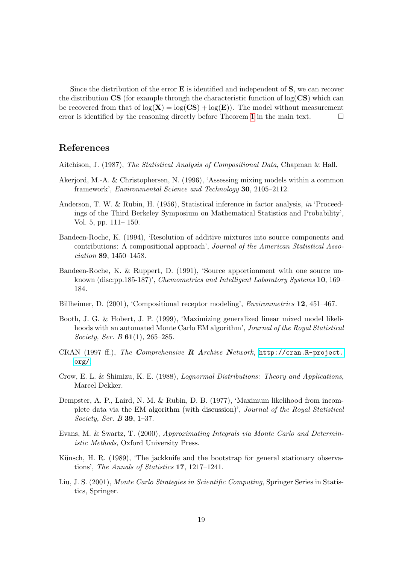Since the distribution of the error  $E$  is identified and independent of  $S$ , we can recover the distribution  $\text{CS}$  (for example through the characteristic function of log( $\text{CS}$ ) which can be recovered from that of  $log(X) = log(CS) + log(E)$ . The model without measurement error is identified by the reasoning directly before Theorem [1](#page-6-0) in the main text.  $\Box$ 

## References

- <span id="page-20-4"></span>Aitchison, J. (1987), The Statistical Analysis of Compositional Data, Chapman & Hall.
- <span id="page-20-0"></span>Akerjord, M.-A. & Christophersen, N. (1996), 'Assessing mixing models within a common framework', Environmental Science and Technology 30, 2105–2112.
- <span id="page-20-12"></span>Anderson, T. W. & Rubin, H. (1956), Statistical inference in factor analysis, in 'Proceedings of the Third Berkeley Symposium on Mathematical Statistics and Probability', Vol. 5, pp. 111– 150.
- <span id="page-20-1"></span>Bandeen-Roche, K. (1994), 'Resolution of additive mixtures into source components and contributions: A compositional approach', Journal of the American Statistical Association 89, 1450–1458.
- <span id="page-20-3"></span>Bandeen-Roche, K. & Ruppert, D. (1991), 'Source apportionment with one source unknown (disc:pp.185-187)', Chemometrics and Intelligent Laboratory Systems 10, 169– 184.
- <span id="page-20-5"></span>Billheimer, D. (2001), 'Compositional receptor modeling', Environmetrics 12, 451–467.
- <span id="page-20-9"></span>Booth, J. G. & Hobert, J. P. (1999), 'Maximizing generalized linear mixed model likelihoods with an automated Monte Carlo EM algorithm', Journal of the Royal Statistical Society, Ser. B **61**(1), 265–285.
- <span id="page-20-10"></span>CRAN (1997 ff.), The Comprehensive R Archive Network, [http://cran.R-project.](http://cran.R-project.org/) [org/](http://cran.R-project.org/).
- <span id="page-20-2"></span>Crow, E. L. & Shimizu, K. E. (1988), Lognormal Distributions: Theory and Applications, Marcel Dekker.
- <span id="page-20-6"></span>Dempster, A. P., Laird, N. M. & Rubin, D. B. (1977), 'Maximum likelihood from incomplete data via the EM algorithm (with discussion)', Journal of the Royal Statistical Society, Ser. B 39, 1–37.
- <span id="page-20-7"></span>Evans, M. & Swartz, T. (2000), Approximating Integrals via Monte Carlo and Deterministic Methods, Oxford University Press.
- <span id="page-20-11"></span>Künsch, H. R. (1989), 'The jackknife and the bootstrap for general stationary observations', The Annals of Statistics 17, 1217–1241.
- <span id="page-20-8"></span>Liu, J. S. (2001), Monte Carlo Strategies in Scientific Computing, Springer Series in Statistics, Springer.